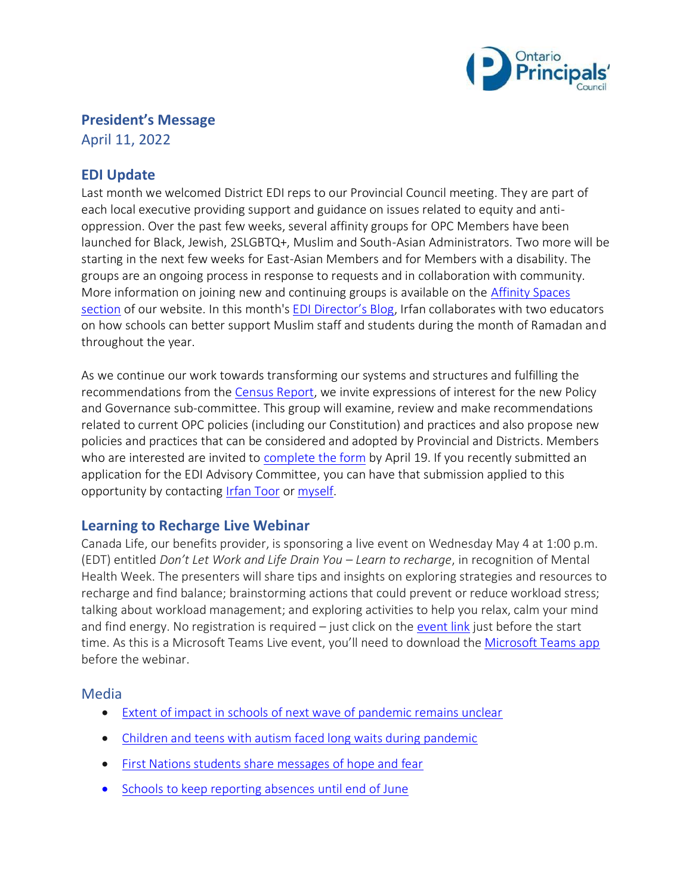

# **President's Message**

April 11, 2022

# **EDI Update**

Last month we welcomed District EDI reps to our Provincial Council meeting. They are part of each local executive providing support and guidance on issues related to equity and antioppression. Over the past few weeks, several affinity groups for OPC Members have been launched for Black, Jewish, 2SLGBTQ+, Muslim and South-Asian Administrators. Two more will be starting in the next few weeks for East-Asian Members and for Members with a disability. The groups are an ongoing process in response to requests and in collaboration with community. More information on joining new and continuing groups is available on the [Affinity Spaces](https://www.principals.ca/en/who-we-are/affinity-spaces.aspx) [section](https://www.principals.ca/en/who-we-are/affinity-spaces.aspx) of our website. In this month's [EDI Director's Blog](https://www.principals.ca/en/who-we-are/ramadan-ready.aspx), Irfan collaborates with two educators on how schools can better support Muslim staff and students during the month of Ramadan and throughout the year.

As we continue our work towards transforming our systems and structures and fulfilling the recommendations from the [Census Report,](https://www.principals.ca/en/who-we-are/resources/protected/EDI-Advisory/Census/2020MembershipCensusReport.pdf) we invite expressions of interest for the new Policy and Governance sub-committee. This group will examine, review and make recommendations related to current OPC policies (including our Constitution) and practices and also propose new policies and practices that can be considered and adopted by Provincial and Districts. Members who are interested are invited to [complete the form](https://forms.principals.ca/PolicyGovernance/Policy-and-Governance-sub-committee) by April 19. If you recently submitted an application for the EDI Advisory Committee, you can have that submission applied to this opportunity by contacting [Irfan Toor](mailto:itoor@principals.ca) or [myself.](mailto:president@principals.ca)

### **Learning to Recharge Live Webinar**

Canada Life, our benefits provider, is sponsoring a live event on Wednesday May 4 at 1:00 p.m. (EDT) entitled *Don't Let Work and Life Drain You – Learn to recharge*, in recognition of Mental Health Week. The presenters will share tips and insights on exploring strategies and resources to recharge and find balance; brainstorming actions that could prevent or reduce workload stress; talking about workload management; and exploring activities to help you relax, calm your mind and find energy. No registration is required – just click on the [event link](https://teams.microsoft.com/dl/launcher/launcher.html?url=%2F_%23%2Fl%2Fmeetup-join%2F19%3Ameeting_ODUzMWVlNmYtNDRmZS00NmFkLThkM2UtZWFmOWE3NDU3YzM3%40thread.v2%2F0%3Fcontext%3D%257b%2522Tid%2522%253a%2522633f3069-d670-4419-9fee-2ab4251c88ee%2522%252c%2522Oid%2522%253a%252250590310-3de5-432f-a583-90497909bc36%2522%252c%2522IsBroadcastMeeting%2522%253atrue%257d%26btype%3Da%26role%3Da%26anon%3Dtrue&type=meetup-join&deeplinkId=f8a6a04c-5f79-47e7-bbb7-ad500d08a8cd&directDl=true&msLaunch=true&enableMobilePage=true&suppressPrompt=true) just before the start time. As this is a Microsoft Teams Live event, you'll need to download th[e Microsoft Teams app](https://www.microsoft.com/en-us/microsoft-teams/download-app#allDevicesSection) before the webinar.

#### Media

- [Extent of impact in schools of next wave of pandemic remains unclear](https://www.thestar.com/news/gta/2022/04/06/back-in-class-after-two-years-teacher-tests-positive-for-covid-in-a-week-as-sixth-wave-hits-ontario-schools.html)
- [Children and teens with autism faced long waits during pandemic](https://www.cbc.ca/news/canada/kitchener-waterloo/ontario-children-teens-autism-survey-laurier-mclaughlin-1.6410445)
- [First Nations students share messages of hope and fear](https://www.cbc.ca/news/canada/thunder-bay/dear-thunder-bay-campaign-1.6408639)
- [Schools to keep reporting absences until end of June](https://www.thestar.com/news/gta/2022/04/08/ontario-schools-to-keep-reporting-absences-until-end-of-june.html)